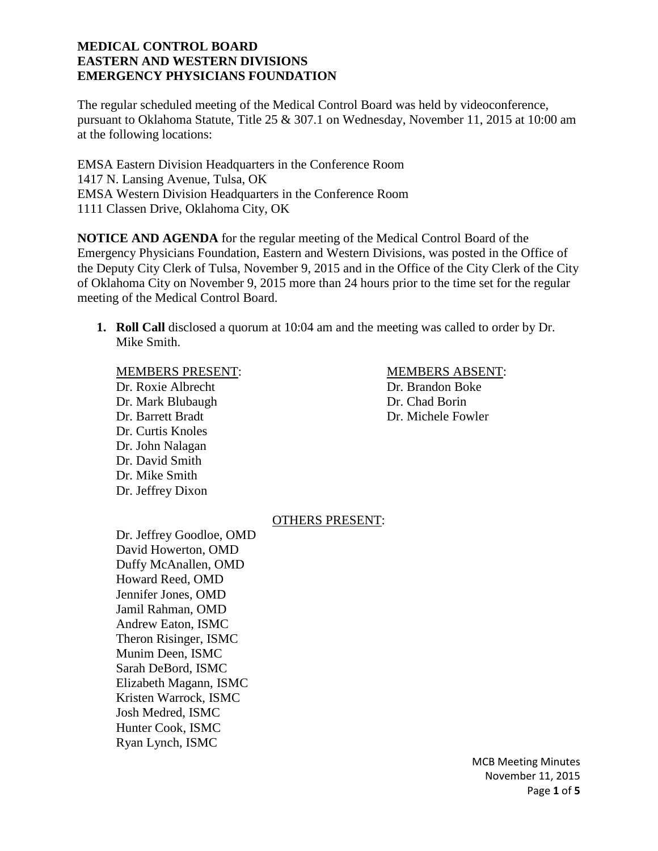The regular scheduled meeting of the Medical Control Board was held by videoconference, pursuant to Oklahoma Statute, Title 25 & 307.1 on Wednesday, November 11, 2015 at 10:00 am at the following locations:

EMSA Eastern Division Headquarters in the Conference Room 1417 N. Lansing Avenue, Tulsa, OK EMSA Western Division Headquarters in the Conference Room 1111 Classen Drive, Oklahoma City, OK

**NOTICE AND AGENDA** for the regular meeting of the Medical Control Board of the Emergency Physicians Foundation, Eastern and Western Divisions, was posted in the Office of the Deputy City Clerk of Tulsa, November 9, 2015 and in the Office of the City Clerk of the City of Oklahoma City on November 9, 2015 more than 24 hours prior to the time set for the regular meeting of the Medical Control Board.

**1. Roll Call** disclosed a quorum at 10:04 am and the meeting was called to order by Dr. Mike Smith.

Dr. Roxie Albrecht Dr. Brandon Boke Dr. Mark Blubaugh Dr. Chad Borin Dr. Barrett Bradt Dr. Michele Fowler Dr. Curtis Knoles Dr. John Nalagan Dr. David Smith Dr. Mike Smith Dr. Jeffrey Dixon

# MEMBERS PRESENT: MEMBERS ABSENT:

### OTHERS PRESENT:

Dr. Jeffrey Goodloe, OMD David Howerton, OMD Duffy McAnallen, OMD Howard Reed, OMD Jennifer Jones, OMD Jamil Rahman, OMD Andrew Eaton, ISMC Theron Risinger, ISMC Munim Deen, ISMC Sarah DeBord, ISMC Elizabeth Magann, ISMC Kristen Warrock, ISMC Josh Medred, ISMC Hunter Cook, ISMC Ryan Lynch, ISMC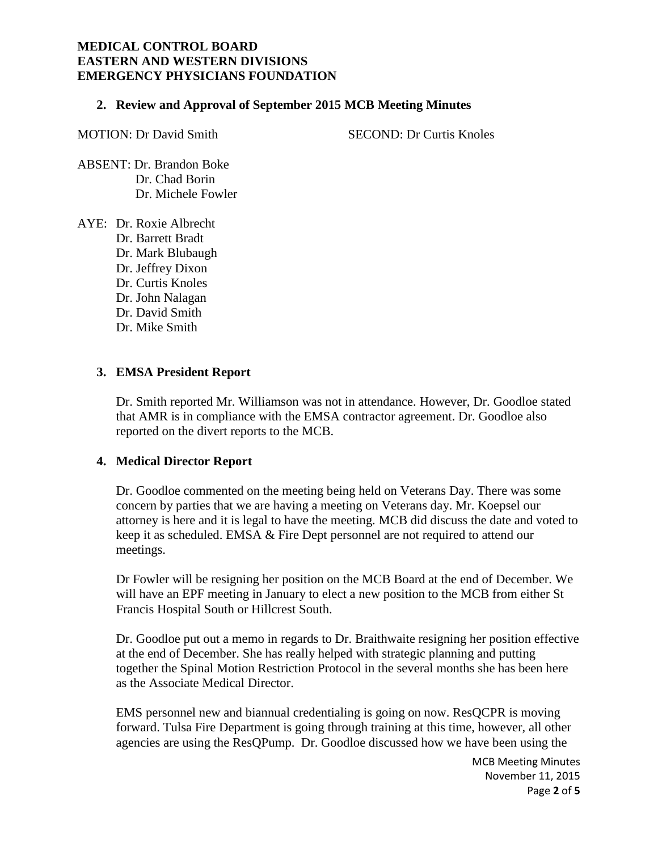#### **2. Review and Approval of September 2015 MCB Meeting Minutes**

MOTION: Dr David Smith SECOND: Dr Curtis Knoles

ABSENT: Dr. Brandon Boke Dr. Chad Borin Dr. Michele Fowler

AYE: Dr. Roxie Albrecht Dr. Barrett Bradt Dr. Mark Blubaugh Dr. Jeffrey Dixon Dr. Curtis Knoles Dr. John Nalagan Dr. David Smith Dr. Mike Smith

# **3. EMSA President Report**

Dr. Smith reported Mr. Williamson was not in attendance. However, Dr. Goodloe stated that AMR is in compliance with the EMSA contractor agreement. Dr. Goodloe also reported on the divert reports to the MCB.

### **4. Medical Director Report**

Dr. Goodloe commented on the meeting being held on Veterans Day. There was some concern by parties that we are having a meeting on Veterans day. Mr. Koepsel our attorney is here and it is legal to have the meeting. MCB did discuss the date and voted to keep it as scheduled. EMSA & Fire Dept personnel are not required to attend our meetings.

Dr Fowler will be resigning her position on the MCB Board at the end of December. We will have an EPF meeting in January to elect a new position to the MCB from either St Francis Hospital South or Hillcrest South.

Dr. Goodloe put out a memo in regards to Dr. Braithwaite resigning her position effective at the end of December. She has really helped with strategic planning and putting together the Spinal Motion Restriction Protocol in the several months she has been here as the Associate Medical Director.

EMS personnel new and biannual credentialing is going on now. ResQCPR is moving forward. Tulsa Fire Department is going through training at this time, however, all other agencies are using the ResQPump. Dr. Goodloe discussed how we have been using the

> MCB Meeting Minutes November 11, 2015 Page **2** of **5**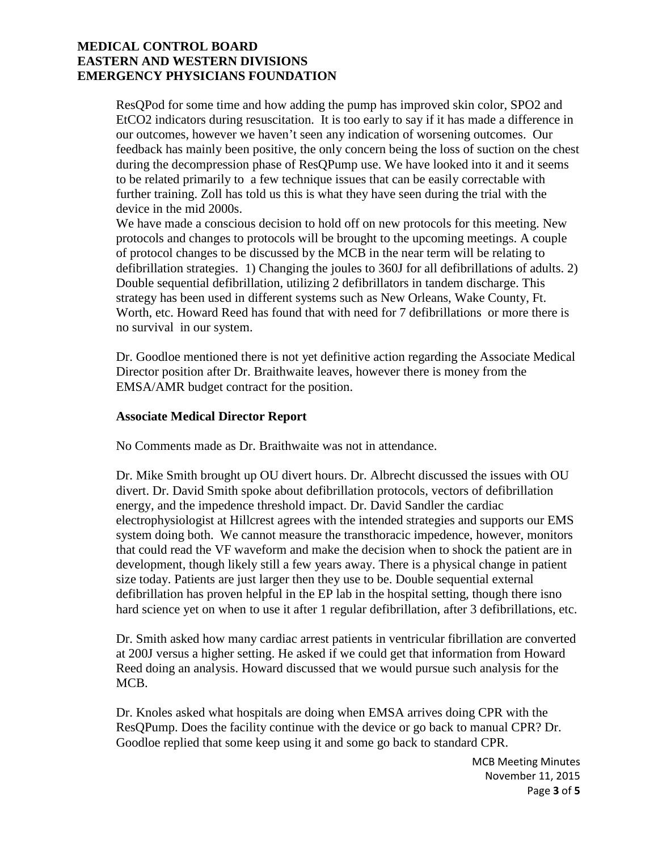ResQPod for some time and how adding the pump has improved skin color, SPO2 and EtCO2 indicators during resuscitation. It is too early to say if it has made a difference in our outcomes, however we haven't seen any indication of worsening outcomes. Our feedback has mainly been positive, the only concern being the loss of suction on the chest during the decompression phase of ResQPump use. We have looked into it and it seems to be related primarily to a few technique issues that can be easily correctable with further training. Zoll has told us this is what they have seen during the trial with the device in the mid 2000s.

We have made a conscious decision to hold off on new protocols for this meeting. New protocols and changes to protocols will be brought to the upcoming meetings. A couple of protocol changes to be discussed by the MCB in the near term will be relating to defibrillation strategies. 1) Changing the joules to 360J for all defibrillations of adults. 2) Double sequential defibrillation, utilizing 2 defibrillators in tandem discharge. This strategy has been used in different systems such as New Orleans, Wake County, Ft. Worth, etc. Howard Reed has found that with need for 7 defibrillations or more there is no survival in our system.

Dr. Goodloe mentioned there is not yet definitive action regarding the Associate Medical Director position after Dr. Braithwaite leaves, however there is money from the EMSA/AMR budget contract for the position.

### **Associate Medical Director Report**

No Comments made as Dr. Braithwaite was not in attendance.

Dr. Mike Smith brought up OU divert hours. Dr. Albrecht discussed the issues with OU divert. Dr. David Smith spoke about defibrillation protocols, vectors of defibrillation energy, and the impedence threshold impact. Dr. David Sandler the cardiac electrophysiologist at Hillcrest agrees with the intended strategies and supports our EMS system doing both. We cannot measure the transthoracic impedence, however, monitors that could read the VF waveform and make the decision when to shock the patient are in development, though likely still a few years away. There is a physical change in patient size today. Patients are just larger then they use to be. Double sequential external defibrillation has proven helpful in the EP lab in the hospital setting, though there isno hard science yet on when to use it after 1 regular defibrillation, after 3 defibrillations, etc.

Dr. Smith asked how many cardiac arrest patients in ventricular fibrillation are converted at 200J versus a higher setting. He asked if we could get that information from Howard Reed doing an analysis. Howard discussed that we would pursue such analysis for the MCB.

Dr. Knoles asked what hospitals are doing when EMSA arrives doing CPR with the ResQPump. Does the facility continue with the device or go back to manual CPR? Dr. Goodloe replied that some keep using it and some go back to standard CPR.

> MCB Meeting Minutes November 11, 2015 Page **3** of **5**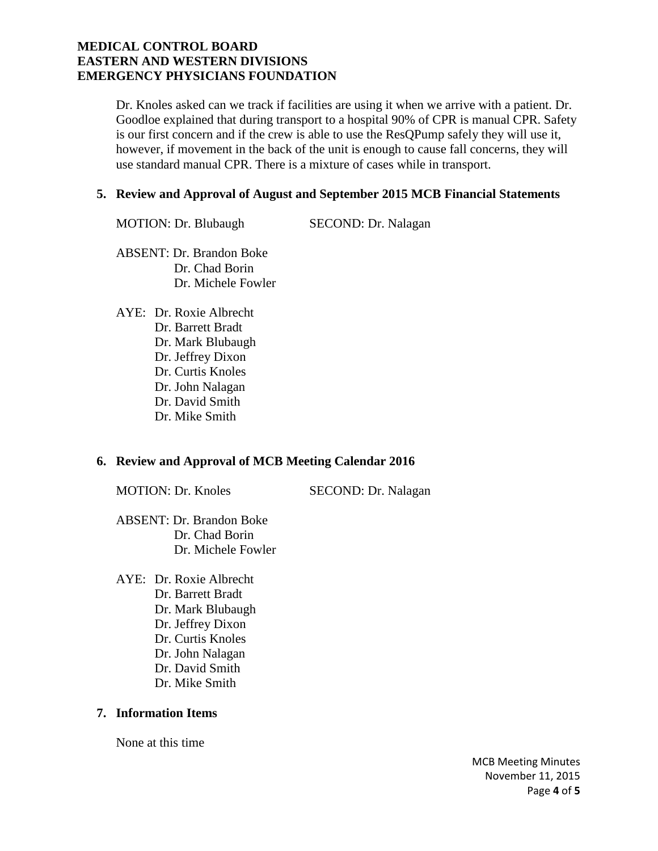Dr. Knoles asked can we track if facilities are using it when we arrive with a patient. Dr. Goodloe explained that during transport to a hospital 90% of CPR is manual CPR. Safety is our first concern and if the crew is able to use the ResQPump safely they will use it, however, if movement in the back of the unit is enough to cause fall concerns, they will use standard manual CPR. There is a mixture of cases while in transport.

### **5. Review and Approval of August and September 2015 MCB Financial Statements**

MOTION: Dr. Blubaugh SECOND: Dr. Nalagan

ABSENT: Dr. Brandon Boke Dr. Chad Borin Dr. Michele Fowler

AYE: Dr. Roxie Albrecht Dr. Barrett Bradt Dr. Mark Blubaugh Dr. Jeffrey Dixon Dr. Curtis Knoles Dr. John Nalagan Dr. David Smith Dr. Mike Smith

# **6. Review and Approval of MCB Meeting Calendar 2016**

MOTION: Dr. Knoles SECOND: Dr. Nalagan

- ABSENT: Dr. Brandon Boke Dr. Chad Borin Dr. Michele Fowler
- AYE: Dr. Roxie Albrecht Dr. Barrett Bradt Dr. Mark Blubaugh Dr. Jeffrey Dixon Dr. Curtis Knoles Dr. John Nalagan Dr. David Smith Dr. Mike Smith

# **7. Information Items**

None at this time